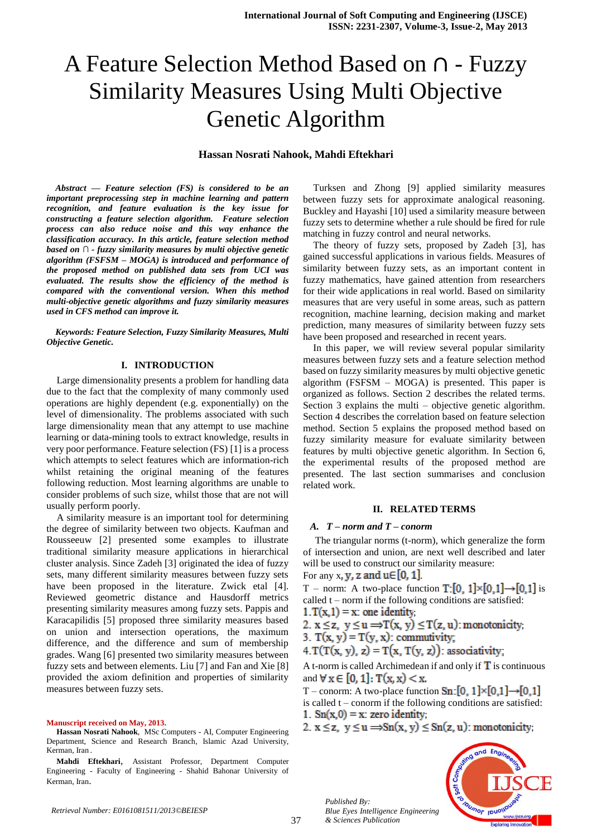# A Feature Selection Method Based on ∩ - Fuzzy Similarity Measures Using Multi Objective Genetic Algorithm

# **Hassan Nosrati Nahook, Mahdi Eftekhari**

*Abstract — Feature selection (FS) is considered to be an important preprocessing step in machine learning and pattern recognition, and feature evaluation is the key issue for constructing a feature selection algorithm. Feature selection process can also reduce noise and this way enhance the classification accuracy. In this article, feature selection method based on ∩ - fuzzy similarity measures by multi objective genetic algorithm (FSFSM – MOGA) is introduced and performance of the proposed method on published data sets from UCI was evaluated. The results show the efficiency of the method is compared with the conventional version. When this method multi-objective genetic algorithms and fuzzy similarity measures used in CFS method can improve it.*

*Keywords: Feature Selection, Fuzzy Similarity Measures, Multi Objective Genetic.*

## **I. INTRODUCTION**

Large dimensionality presents a problem for handling data due to the fact that the complexity of many commonly used operations are highly dependent (e.g. exponentially) on the level of dimensionality. The problems associated with such large dimensionality mean that any attempt to use machine learning or data-mining tools to extract knowledge, results in very poor performance. Feature selection (FS) [1] is a process which attempts to select features which are information-rich whilst retaining the original meaning of the features following reduction. Most learning algorithms are unable to consider problems of such size, whilst those that are not will usually perform poorly.

A similarity measure is an important tool for determining the degree of similarity between two objects. Kaufman and Rousseeuw [2] presented some examples to illustrate traditional similarity measure applications in hierarchical cluster analysis. Since Zadeh [3] originated the idea of fuzzy sets, many different similarity measures between fuzzy sets have been proposed in the literature. Zwick etal [4]. Reviewed geometric distance and Hausdorff metrics presenting similarity measures among fuzzy sets. Pappis and Karacapilidis [5] proposed three similarity measures based on union and intersection operations, the maximum difference, and the difference and sum of membership grades. Wang [6] presented two similarity measures between fuzzy sets and between elements. Liu [7] and Fan and Xie [8] provided the axiom definition and properties of similarity measures between fuzzy sets.

#### **Manuscript received on May, 2013.**

**Hassan Nosrati Nahook**, MSc Computers - AI, Computer Engineering Department, Science and Research Branch, Islamic Azad University, Kerman, Iran .

**Mahdi Eftekhari**, Assistant Professor, Department Computer Engineering - Faculty of Engineering - Shahid Bahonar University of Kerman, Iran.

Turksen and Zhong [9] applied similarity measures between fuzzy sets for approximate analogical reasoning. Buckley and Hayashi [10] used a similarity measure between fuzzy sets to determine whether a rule should be fired for rule matching in fuzzy control and neural networks.

The theory of fuzzy sets, proposed by Zadeh [3], has gained successful applications in various fields. Measures of similarity between fuzzy sets, as an important content in fuzzy mathematics, have gained attention from researchers for their wide applications in real world. Based on similarity measures that are very useful in some areas, such as pattern recognition, machine learning, decision making and market prediction, many measures of similarity between fuzzy sets have been proposed and researched in recent years.

In this paper, we will review several popular similarity measures between fuzzy sets and a feature selection method based on fuzzy similarity measures by multi objective genetic algorithm (FSFSM – MOGA) is presented. This paper is organized as follows. Section 2 describes the related terms. Section 3 explains the multi – objective genetic algorithm. Section 4 describes the correlation based on feature selection method. Section 5 explains the proposed method based on fuzzy similarity measure for evaluate similarity between features by multi objective genetic algorithm. In Section 6, the experimental results of the proposed method are presented. The last section summarises and conclusion related work.

# **II. RELATED TERMS**

#### *A. T – norm and T – conorm*

 The triangular norms (t-norm), which generalize the form of intersection and union, are next well described and later will be used to construct our similarity measure:

# For any x, y, z and  $u \in [0, 1]$ .

T – norm: A two-place function  $\Gamma$ :  $[0, 1] \times [0, 1] \rightarrow [0, 1]$  is called t – norm if the following conditions are satisfied:

- $1.T(x, 1) = x$ ; one identity,
- 2.  $x \le z$ ,  $y \le u \implies T(x, y) \le T(z, u)$ : monotonicity,
- 3.  $T(x, y) = T(y, x)$ : commutivity;
- $4.T(T(x, y), z) = T(x, T(y, z))$ : associativity;

A t-norm is called Archimedean if and only if  $T$  is continuous and  $\forall$  x  $\in$  [0, 1]: T(x, x) < x.

T – conorm: A two-place function  $\text{Sn:}[0, 1] \times [0,1] \rightarrow [0,1]$ is called  $t$  – conorm if the following conditions are satisfied:

1.  $Sn(x, 0) = x$ : zero identity;

*Published By:*

*& Sciences Publication* 

2.  $x \le z$ ,  $y \le u \implies Sn(x, y) \le Sn(z, u)$ : monotonicity,

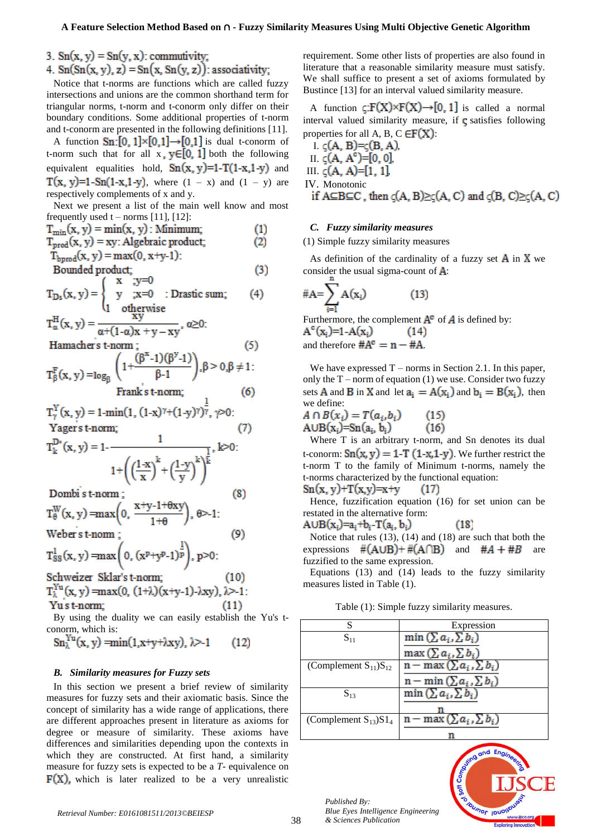## **A Feature Selection Method Based on** ∩ **- Fuzzy Similarity Measures Using Multi Objective Genetic Algorithm**

 $(3)$ 

 $(5)$ 

 $(8)$ 

- 3.  $Sn(x, y) = Sn(y, x)$ : commutivity;
- 4.  $Sn(Sn(x, y), z) = Sn(x, Sn(y, z))$ : associativity;

Notice that t-norms are functions which are called fuzzy intersections and unions are the common shorthand term for triangular norms, t-norm and t-conorm only differ on their boundary conditions. Some additional properties of t-norm and t-conorm are presented in the following definitions [11].

A function  $\text{Sn:}[0,1] \times [0,1] \rightarrow [0,1]$  is dual t-conorm of t-norm such that for all  $x, y \in [0, 1]$  both the following equivalent equalities hold,  $\text{Sn}(x, y) = 1 - T(1-x, 1-y)$  and  $T(x, y)=1-Sn(1-x, 1-y)$ , where  $(1 - x)$  and  $(1 - y)$  are respectively complements of x and y.

Next we present a list of the main well know and most frequently used  $t$  – norms [11], [12]:

$$
T_{\min}(x, y) = \min(x, y) : \text{Minimum}; \tag{1}
$$
\n
$$
T_{\min}(x, y) = \min(\text{Algorithm}(\text{Product})) \tag{2}
$$

$$
Tprod(x, y) = xy. Algebraic product,Tbmod(x, y) = max(0, x+y-1):
$$
 (2)

Bounded product;

$$
T_{D_s}(x, y) = \begin{cases} x & ;y=0 \\ y & ;x=0 \end{cases}
$$
: Drastic sum; (4)

$$
T_{\alpha}^{H}(x, y) = \frac{y}{\alpha + (1-\alpha)x + y - xy}, \ \alpha \geq 0:
$$

Hamacher s t-norm:

$$
T_{\beta}^{F}(x, y) = \log_{\beta} \left( 1 + \frac{(\beta^{x}-1)(\beta^{y}-1)}{\beta - 1} \right), \beta > 0, \beta \neq 1:
$$
  
Frank's t-norm; (6)

 $T_{\gamma}^{Y}(x, y) = 1 - \min(1, (1-x)^{\gamma}+(1-y)^{\gamma})^{\frac{1}{\gamma}}, \gamma > 0$ : Yager's t-norm;  $(7)$ ragers t-horm,<br>  $T_k^{D*}(x, y) = 1 - \frac{1}{1 + \left(\left(\frac{1-x}{x}\right)^k + \left(\frac{1-y}{y}\right)^k\right)^{\frac{1}{k}}}, k > 0$ :

Dombi s t-norm :

$$
\Gamma_{\theta}^{W}(x, y) = \max\left(0, \frac{1}{1+\theta}\right), \theta > 1:
$$
\nWeber's t-norm;

\n
$$
\Gamma_{\theta}^{1}(x, y) = \left(0, \left(\frac{n}{1+\theta}, \frac{1}{1+\theta}\right)\right), \theta > 1.
$$
\n(9)

 $x+y-1+\theta xv$ 

 $T_{SS}^1(x, y) = max(0, (x^p+y^p-1)^{\bar{p}}), p>0.$ Schweizer Sklar's t-norm;  $(10)$  $T_{\lambda}^{Yu}(x, y) = max(0, (1+\lambda)(x+y-1)-\lambda xy), \lambda > 1$ : Yust-norm;  $(11)$ 

By using the duality we can easily establish the Yu's tconorm, which is:<br> $\text{Sn}_{\lambda}^{\text{Yu}}(x, y) = \min(1, x+y+\lambda xy), \lambda > -1$ 

 $(12)$ 

# *B. Similarity measures for Fuzzy sets*

In this section we present a brief review of similarity measures for fuzzy sets and their axiomatic basis. Since the concept of similarity has a wide range of applications, there are different approaches present in literature as axioms for degree or measure of similarity. These axioms have differences and similarities depending upon the contexts in which they are constructed. At first hand, a similarity measure for fuzzy sets is expected to be a *T-* equivalence on  $F(X)$ , which is later realized to be a very unrealistic

requirement. Some other lists of properties are also found in literature that a reasonable similarity measure must satisfy. We shall suffice to present a set of axioms formulated by Bustince [13] for an interval valued similarity measure.

A function  $\mathsf{C}\textup{F}(X)\times \textup{F}(X) \rightarrow [0, 1]$  is called a normal interval valued similarity measure, if  $\boldsymbol{\varsigma}$  satisfies following properties for all A, B, C  $\in$   $F(X)$ :

I. 
$$
\varsigma
$$
(A, B)= $\varsigma$ (B, A),  
\nII.  $\varsigma$ (A, A°)=[0, 0],  
\nIII.  $\varsigma$ (A, A)=[1, 1],  
\nIV. Monotonic  
\nif A⊆B⊆C, then  $\varsigma$ (A, B)≥ $\varsigma$ (A, C) and  $\varsigma$ (B, C)≥ $\varsigma$ (A, C)

## *C. Fuzzy similarity measures*

# (1) Simple fuzzy similarity measures

As definition of the cardinality of a fuzzy set  $\bf{A}$  in  $\bf{X}$  we consider the usual sigma-count of  $\mathbf{A}$ :

$$
\#A = \sum_{i=1} A(x_i) \tag{13}
$$

Furthermore, the complement  $A^c$  of  $A$  is defined by:  $A^{c}(x_i)=1-A(x_i)$  $(14)$ 

and therefore  $\#A^c = n - \#A$ .

We have expressed  $T$  – norms in Section 2.1. In this paper, only the  $T$  – norm of equation (1) we use. Consider two fuzzy sets **A** and **B** in **X** and let  $a_i = A(x_i)$  and  $b_i = B(x_i)$ , then we define:

$$
A \cap B(x_i) = T(a_i, b_i)
$$
 (15)  
A
$$
A \cup B(x_i) = Sn(a_i, b_i)
$$
 (16)

Where T is an arbitrary t-norm, and Sn denotes its dual t-conorm:  $\text{Sn}(x, y) = 1 - T (1-x, 1-y)$ . We further restrict the t-norm T to the family of Minimum t-norms, namely the t-norms characterized by the functional equation:

 $Sn(x, y) + T(x, y) = x + y$  $(17)$ 

Hence, fuzzification equation (16) for set union can be restated in the alternative form:

 $A \cup B(x_i) = a_i + b_i - T(a_i, b_i)$  $(18)$ 

Notice that rules (13), (14) and (18) are such that both the expressions  $\#(A \cup B) + \#(A \cap B)$  and  $\#A + \#B$ fuzzified to the same expression.

Equations (13) and (14) leads to the fuzzy similarity measures listed in Table (1).

Table (1): Simple fuzzy similarity measures.

| S                               | Expression                    |
|---------------------------------|-------------------------------|
| $S_{11}$                        | $\min(\sum a_i, \sum b_i)$    |
|                                 | max $(\sum a_i, \sum b_i)$    |
| (Complement $S_{11}$ ) $S_{12}$ | $n - max(\sum a_i, \sum b_i)$ |
|                                 | $n - min(\sum a_i, \sum b_i)$ |
| $S_{13}$                        | min $(\sum a_i, \sum b_i)$    |
|                                 |                               |
| (Complement $S_{13}$ ) $S1_4$   | $n - max(\sum a_i, \sum b_i)$ |
|                                 | $\sim$                        |

*Published By: Blue Eyes Intelligence Engineering & Sciences Publication* 

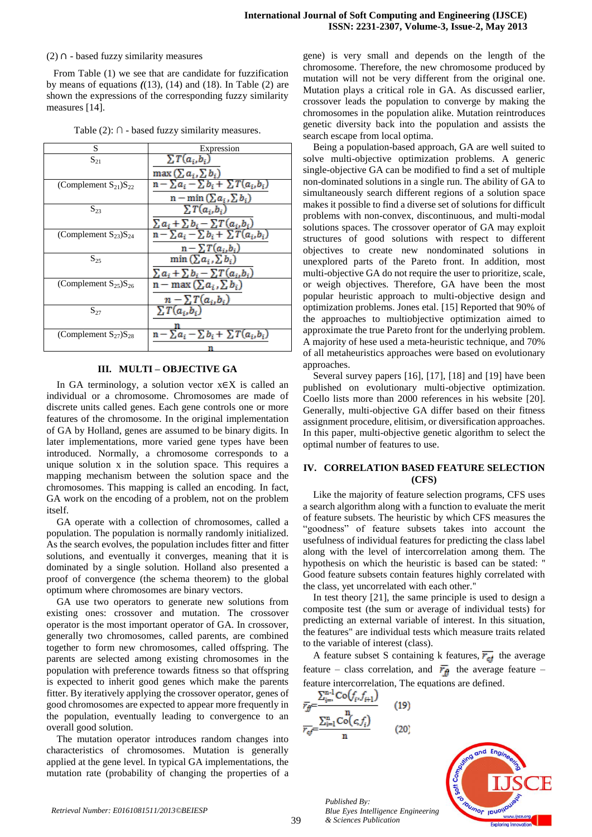## (2) ∩ - based fuzzy similarity measures

From Table (1) we see that are candidate for fuzzification by means of equations *(*(13), (14) and (18). In Table (2) are shown the expressions of the corresponding fuzzy similarity measures [14].

| S                          | Expression                                   |
|----------------------------|----------------------------------------------|
| $\mathbf{S}_{21}$          | $\sum T(a_i,b_i)$                            |
|                            | $\max\left(\sum a_i, \sum b_i\right)$        |
| (Complement $S_{21}S_{22}$ | $n - \sum a_i - \sum b_i + \sum T(a_i, b_i)$ |
|                            | $n - min(\sum a_i, \sum b_i)$                |
| $S_{23}$                   | $\sum T(a_i,b_i)$                            |
|                            | $\sum a_i + \sum b_i - \sum T(a_i, b_i)$     |
| (Complement $S_{23}S_{24}$ | $n - \sum a_i - \sum b_i + \sum T(a_i, b_i)$ |
|                            | $n - \sum T(a_i, b_i)$                       |
| $S_{25}$                   | min $(\sum a_i, \sum b_i)$                   |
|                            | $\sum a_i + \sum b_i - \sum T(a_i, b_i)$     |
| (Complement $S_{25}S_{26}$ | $n - max(\sum a_i, \sum b_i)$                |
|                            | $n - \sum T(a_i, b_i)$                       |
| $S_{27}$                   | $\overline{\sum T(a_i,b_i)}$                 |
|                            |                                              |
| (Complement $S_{27}S_{28}$ | $n - \sum a_i - \sum b_i + \sum T(a_i, b_i)$ |
|                            |                                              |

Table  $(2)$ :  $\cap$  - based fuzzy similarity measures.

# **III. MULTI – OBJECTIVE GA**

In GA terminology, a solution vector x∈X is called an individual or a chromosome. Chromosomes are made of discrete units called genes. Each gene controls one or more features of the chromosome. In the original implementation of GA by Holland, genes are assumed to be binary digits. In later implementations, more varied gene types have been introduced. Normally, a chromosome corresponds to a unique solution x in the solution space. This requires a mapping mechanism between the solution space and the chromosomes. This mapping is called an encoding. In fact, GA work on the encoding of a problem, not on the problem itself.

GA operate with a collection of chromosomes, called a population. The population is normally randomly initialized. As the search evolves, the population includes fitter and fitter solutions, and eventually it converges, meaning that it is dominated by a single solution. Holland also presented a proof of convergence (the schema theorem) to the global optimum where chromosomes are binary vectors.

GA use two operators to generate new solutions from existing ones: crossover and mutation. The crossover operator is the most important operator of GA. In crossover, generally two chromosomes, called parents, are combined together to form new chromosomes, called offspring. The parents are selected among existing chromosomes in the population with preference towards fitness so that offspring is expected to inherit good genes which make the parents fitter. By iteratively applying the crossover operator, genes of good chromosomes are expected to appear more frequently in the population, eventually leading to convergence to an overall good solution.

The mutation operator introduces random changes into characteristics of chromosomes. Mutation is generally applied at the gene level. In typical GA implementations, the mutation rate (probability of changing the properties of a gene) is very small and depends on the length of the chromosome. Therefore, the new chromosome produced by mutation will not be very different from the original one. Mutation plays a critical role in GA. As discussed earlier, crossover leads the population to converge by making the chromosomes in the population alike. Mutation reintroduces genetic diversity back into the population and assists the search escape from local optima.

Being a population-based approach, GA are well suited to solve multi-objective optimization problems. A generic single-objective GA can be modified to find a set of multiple non-dominated solutions in a single run. The ability of GA to simultaneously search different regions of a solution space makes it possible to find a diverse set of solutions for difficult problems with non-convex, discontinuous, and multi-modal solutions spaces. The crossover operator of GA may exploit structures of good solutions with respect to different objectives to create new nondominated solutions in unexplored parts of the Pareto front. In addition, most multi-objective GA do not require the user to prioritize, scale, or weigh objectives. Therefore, GA have been the most popular heuristic approach to multi-objective design and optimization problems. Jones etal. [15] Reported that 90% of the approaches to multiobjective optimization aimed to approximate the true Pareto front for the underlying problem. A majority of hese used a meta-heuristic technique, and 70% of all metaheuristics approaches were based on evolutionary approaches.

Several survey papers [16], [17], [18] and [19] have been published on evolutionary multi-objective optimization. Coello lists more than 2000 references in his website [20]. Generally, multi-objective GA differ based on their fitness assignment procedure, elitisim, or diversification approaches. In this paper, multi-objective genetic algorithm to select the optimal number of features to use.

# **IV. CORRELATION BASED FEATURE SELECTION (CFS)**

Like the majority of feature selection programs, CFS uses a search algorithm along with a function to evaluate the merit of feature subsets. The heuristic by which CFS measures the "goodness" of feature subsets takes into account the usefulness of individual features for predicting the class label along with the level of intercorrelation among them. The hypothesis on which the heuristic is based can be stated: '' Good feature subsets contain features highly correlated with the class, yet uncorrelated with each other.''

In test theory [21], the same principle is used to design a composite test (the sum or average of individual tests) for predicting an external variable of interest. In this situation, the features" are individual tests which measure traits related to the variable of interest (class).

A feature subset S containing k features,  $\overline{r_{cf}}$  the average feature – class correlation, and  $\overline{r}_{\overline{f}}$  the average feature – feature intercorrelation, The equations are defined.

$$
\bar{r}_{\bar{f}} = \frac{\sum_{i=1}^{n-1} \text{Co}(f_i, f_{i+1})}{n} \qquad (19)
$$
\n
$$
\bar{r}_{\bar{g}} = \frac{\sum_{i=1}^{n} \text{Co}(c_i, f_i)}{n} \qquad (20)
$$

*Published By:*

*& Sciences Publication* 

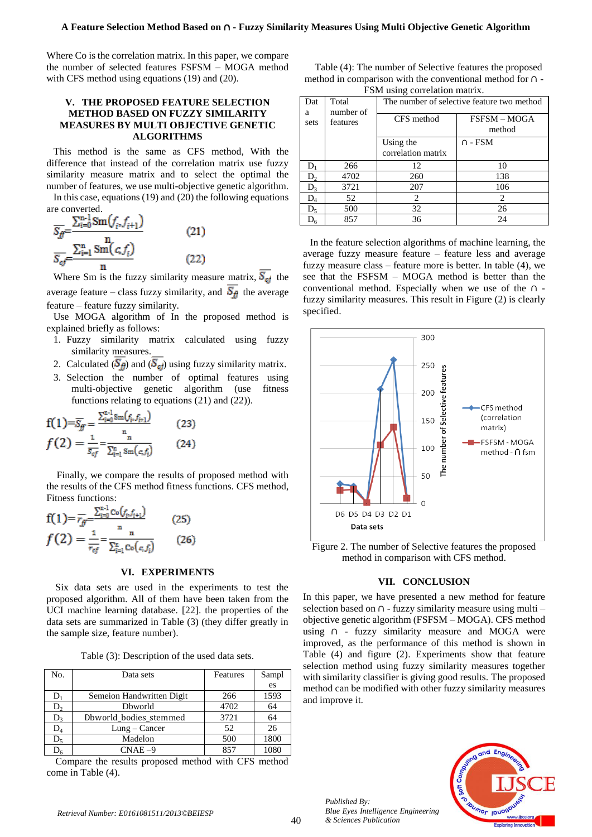Where Co is the correlation matrix. In this paper, we compare the number of selected features FSFSM – MOGA method with CFS method using equations (19) and (20).

# **V. THE PROPOSED FEATURE SELECTION METHOD BASED ON FUZZY SIMILARITY MEASURES BY MULTI OBJECTIVE GENETIC ALGORITHMS**

This method is the same as CFS method, With the difference that instead of the correlation matrix use fuzzy similarity measure matrix and to select the optimal the number of features, we use multi-objective genetic algorithm.

In this case, equations (19) and (20) the following equations are converted.

$$
\overline{S}_{\tilde{g}} = \frac{\sum_{i=0}^{n-1} \text{Sm}(f_i, f_{i+1})}{n} \tag{21}
$$
\n
$$
\overline{S}_{\tilde{g}} = \frac{\sum_{i=1}^{n} \text{Sm}(c, f_i)}{n} \tag{22}
$$

Where Sm is the fuzzy similarity measure matrix,  $S_{cf}$  the average feature – class fuzzy similarity, and  $\overline{S_H}$  the average feature – feature fuzzy similarity.

Use MOGA algorithm of In the proposed method is explained briefly as follows:

- 1. Fuzzy similarity matrix calculated using fuzzy similarity measures.
- 2. Calculated  $(S_{\hat{g}})$  and  $(S_{\hat{g}})$  using fuzzy similarity matrix.
- 3. Selection the number of optimal features using multi-objective genetic algorithm (use fitness functions relating to equations (21) and (22)).

$$
f(1) = \overline{S}_{ff} = \frac{\sum_{i=0}^{n-1} \text{Sm}(f_i, f_{i+1})}{n} \qquad (23)
$$
  

$$
f(2) = \frac{1}{\overline{S}_{cf}} = \frac{n}{\sum_{i=1}^{n} \text{Sm}(c, f_i)} \qquad (24)
$$

Finally, we compare the results of proposed method with the results of the CFS method fitness functions. CFS method, Fitness functions:

$$
f(1) = \overline{r}_{f} = \frac{\sum_{i=0}^{n-1} C_o(f_i, f_{i+1})}{\sum_{i=1}^{n} \sum_{i=1}^{n} C_o(f_i, f_i)}
$$
(25)

# **VI. EXPERIMENTS**

Six data sets are used in the experiments to test the proposed algorithm. All of them have been taken from the UCI machine learning database. [22]. the properties of the data sets are summarized in Table (3) (they differ greatly in the sample size, feature number).

Table (3): Description of the used data sets.

| No.            | Data sets                 | Features | Sampl |
|----------------|---------------------------|----------|-------|
|                |                           |          | es    |
| $D_1$          | Semeion Handwritten Digit | 266      | 1593  |
| D,             | Dbworld                   | 4702     | 64    |
| $D_3$          | Dbworld bodies stemmed    | 3721     | 64    |
| $\mathrm{D}_4$ | $Lung - Cancer$           | 52       | 26    |
| D,             | Madelon                   | 500      | 1800  |
| ر(             | $CNAE-9$                  | 857      | 1080  |

Compare the results proposed method with CFS method come in Table (4).

| Table (4): The number of Selective features the proposed       |
|----------------------------------------------------------------|
| method in comparison with the conventional method for $\cap$ - |
| FSM using correlation matrix.                                  |

| Dat            | Total                 | The number of selective feature two method |                             |
|----------------|-----------------------|--------------------------------------------|-----------------------------|
| a<br>sets      | number of<br>features | CFS method                                 | <b>FSFSM-MOGA</b><br>method |
|                |                       | Using the<br>correlation matrix            | $\cap$ - FSM                |
|                | 266                   | 12                                         | 10                          |
| $D_2$          | 4702                  | 260                                        | 138                         |
| $\mathrm{D}_3$ | 3721                  | 207                                        | 106                         |
| $\mathrm{D}_4$ | 52                    | 2                                          | 2                           |
| $\mathrm{D}_5$ | 500                   | 32                                         | 26                          |
| $D_6$          | 857                   | 36                                         | 24                          |

In the feature selection algorithms of machine learning, the average fuzzy measure feature – feature less and average fuzzy measure class – feature more is better. In table (4), we see that the FSFSM – MOGA method is better than the conventional method. Especially when we use of the  $\cap$  fuzzy similarity measures. This result in Figure (2) is clearly specified.



Figure 2. The number of Selective features the proposed method in comparison with CFS method.

#### **VII. CONCLUSION**

In this paper, we have presented a new method for feature selection based on  $\cap$  - fuzzy similarity measure using multi – objective genetic algorithm (FSFSM – MOGA). CFS method using ∩ - fuzzy similarity measure and MOGA were improved, as the performance of this method is shown in Table (4) and figure (2). Experiments show that feature selection method using fuzzy similarity measures together with similarity classifier is giving good results. The proposed method can be modified with other fuzzy similarity measures and improve it.